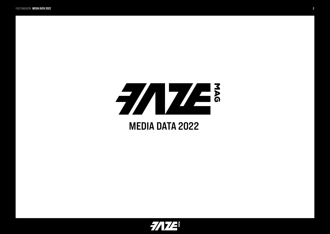

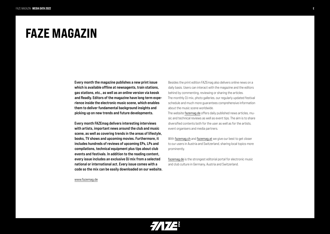### FAZE MAGAZIN

Every month the magazine publishes a new print issue which is available offline at newsagents, train stations, gas stations, etc., as well as an online version via keosk and Readly. Editors of the magazine have long term experience inside the electronic music scene, which enables them to deliver fundamental background insights and picking up on new trends and future developments.

Every month FAZEmag delivers interesting interviews with artists, important news around the club and music scene, as well as covering trends in the areas of lifestyle, books, TV shows and upcoming movies. Furthermore, it includes hundreds of reviews of upcoming EPs, LPs and compilations, technical equipment plus tips about club events and festivals. In addition to the reading content, every issue includes an exclusive DJ mix from a selected national or international act. Every issue comes with a code so the mix can be easily downloaded on our website.

www.fazemag.de

Besides the print edition FAZEmag also delivers online news on a daily basis. Users can interact with the magazine and the editors behind by commenting, reviewing or sharing the articles. The monthly DJ mix, photo galleries, our regularly updated festival schedule and much more guarantees comprehensive information about the music scene worldwide.

The website fazemag.de offers daily published news articles, music and technical reviews as well as event tips. The aim is to share diversified contents both for the user as well as for the artists, event organisers and media partners.

With fazemag.ch and fazemag.at we give our best to get closer to our users in Austria and Switzerland, sharing local topics more prominently.

fazemag.de is the strongest editorial portal for electronic music and club culture in Germany, Austria and Switzerland.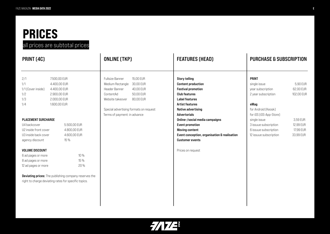# PRICES

### all prices are subtotal prices

| PRINT (4C)                                                                                                                                           |                                                                                                                                              | ONLINE (TKP)                                                                                                                                                                                                                     | <b>FEATURES (HEAD)</b>                                                                                                                                                                                                                                                                                                               | <b>PURCHASE &amp; SUBSCRIPTION</b>                                                                                                                                                                                             |                                                                                        |
|------------------------------------------------------------------------------------------------------------------------------------------------------|----------------------------------------------------------------------------------------------------------------------------------------------|----------------------------------------------------------------------------------------------------------------------------------------------------------------------------------------------------------------------------------|--------------------------------------------------------------------------------------------------------------------------------------------------------------------------------------------------------------------------------------------------------------------------------------------------------------------------------------|--------------------------------------------------------------------------------------------------------------------------------------------------------------------------------------------------------------------------------|----------------------------------------------------------------------------------------|
| 2/1<br>1/1<br>1/1 (Cover inside)<br>1/2<br>1/3<br>1/4<br><b>PLACEMENT SURCHARGE</b><br>U4 backcover<br>U2 inside front cover<br>U3 inside back cover | 7.500,00 EUR<br>4.400,00 EUR<br>4.400,00 EUR<br>2.900,00 EUR<br>2.000,00 EUR<br>1.600,00 EUR<br>5.500,00 EUR<br>4.800,00 EUR<br>4.600,00 EUR | Fullsize Banner<br>15,00 EUR<br>30,00 EUR<br>Medium Rectangle<br>Header Banner<br>40,00 EUR<br>ContentAd<br>50,00 EUR<br>80,00 EUR<br>Website takeover<br>Special advertising formats on request<br>Terms of payment: in advance | <b>Story telling</b><br><b>Content production</b><br><b>Festival promotion</b><br><b>Club features</b><br>Label features<br><b>Artist features</b><br>Native advertising<br><b>Advertorials</b><br>Online-/social media campaigns<br><b>Event promotion</b><br><b>Moving content</b><br>Event conception, organisation & realisation | <b>PRINT</b><br>single issue<br>year subscription<br>2 year subscription<br>eMag<br>for Android (Keosk)<br>for iOS (iOS-App-Store)<br>single issue<br>3 issuue subscription<br>6 issuue subscription<br>12 issuue subscription | 5,90 EUR<br>62,00 EUR<br>102,00 EUR<br>3,59 EUR<br>12,99 EUR<br>17,99 EUR<br>33,99 EUR |
| agency discount                                                                                                                                      | 15 %                                                                                                                                         |                                                                                                                                                                                                                                  | <b>Customer events</b>                                                                                                                                                                                                                                                                                                               |                                                                                                                                                                                                                                |                                                                                        |
| <b>VOLUME DISCOUNT</b><br>6 ad pages or more<br>8 ad pages or more<br>12 ad pages or more                                                            | 10 %<br>15 %<br>20%<br><b>Deviating prices:</b> The publishing company reserves the<br>right to charge deviating rates for specific topics.  |                                                                                                                                                                                                                                  | Prices on request                                                                                                                                                                                                                                                                                                                    |                                                                                                                                                                                                                                |                                                                                        |

 $7/17/2$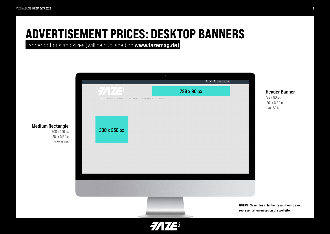# ADVERTISEMENT PRICES: DESKTOP BANNERS

Banner options and sizes (will be published on www.fazemag.de)



#### Medium Rectangle 300 x 250 px

JPG or GIF file max. 80 kb

NOTICE: Save files in higher resolution to avoid representation errors on the website.

Header Banner

728 x 90 px JPG or GIF file max. 80 kb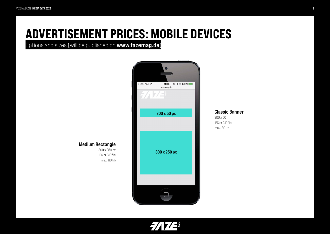## ADVERTISEMENT PRICES: MOBILE DEVICES

Options and sizes (will be published on www.fazemag.de)



Classic Banner 300 x 50 JPG or GIF file

max. 80 kb

Medium Rectangle

300 x 250 px JPG or GIF file max. 80 kb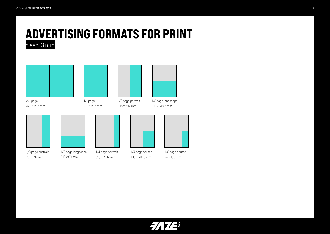### ADVERTISING FORMATS FOR PRINT bleed: 3 mm

2/1 page 420 x 297 mm 1/3 page portrait 70 x 297 mm 1/1 page 210 x 297 mm 1/3 page langscape 210 x 99 mm 1/2 page portrait 105 x 297 mm 1/4 page portrait 52,5 x 297 mm 1/2 page landscape 210 x 148,5 mm 1/4 page corner 105 x 148,5 mm 1/8 page corner 74 x 105 mm

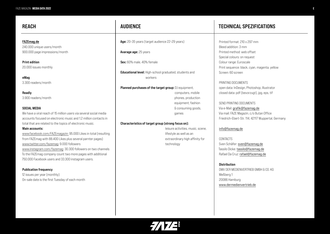FAZEmag.de 240.000 unique users/month 900.000 page impressions/month

Print edition 20.000 issues monthly

eMag 3.300 readers/month

Readly 3.900 readers/month

#### SOCIAL MEDIA

We have a viral reach of 15 million users via several social media accounts focused on electronic music and 1.2 million contacts in total that are related to the topics of electronic music.

#### Main accounts:

www.facebook.com/FAZEmagazin: 95.000 Likes in total (resulting from FAZEmag with 88.400 Likes plus several parnter pages) www.twitter.com/fazemag: 9.000 followers www.instagram.com/fazemag: 30.300 followers on two channels To the FAZEmag company count two more pages with additional 750.000 Facebook users and 33.300 instagram users.

#### **Publication frequency**

12 issues per year (monthly) On-sale date is the first Tuesday of each month

Age: 20–35 years (target audience 22–29 years)

Avarage age: 25 years

Sex: 60% male, 40% female

Educational level: High-school graduated, students and workers

Planned purchases of the target group: DJ equipment, computers, mobile phones, production equipment, fashion & consuming goods, games

#### Characteristics of target group (strong focus on):

 leisure activities, music, scene, lifestyle as well as an extraordinary high affinity for technology

### REACH REACH REACH AUDIENCE REACH TECHNICAL SPEZIFICATIONS

Printed format: 210 x 297 mm Bleed addition: 3 mm Printed method: web offset Special colours: on request Colour range: Euroscale Print sequence: black, cyan, magenta, yellow Screen: 60 screen

PRINTING DOCUMENTS open data: InDesign, Photoshop, Illustrator closed data: pdf (bevorzugt), jpg, eps, tif

SEND PRINTING DOCUMENTS Via e-Mail: grafik@fazemag.de Via mail: FAZE Magazin, c/o Butan Office Friedrich-Ebert-Str. 114, 42117 Wuppertal, Germany

#### info@fazemag.de

CONTACTS Sven Schäfer: sven@fazemag.de Tassilo Dicke: tassilo@fazemag.de Rafael Da Cruz: rafael@fazemag.de

### **Distribution** DMV DER MEDIENVERTRIEB GMBH & CO. KG Meßberg 1 20086 Hamburg

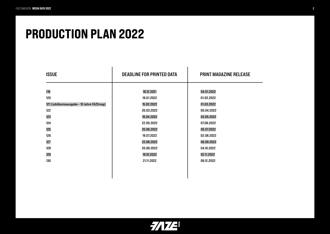## PRODUCTION PLAN 2022

| <b>ISSUE</b>                              | <b>DEADLINE FOR PRINTED DATA</b> | <b>PRINT MAGAZINE RELEASE</b> |
|-------------------------------------------|----------------------------------|-------------------------------|
| 119                                       | 18.12.2021                       | 04.01.2022                    |
| 120                                       | 19.01.2022                       | 01.02.2022                    |
| 121 (Jubiläumsausgabe - 10 Jahre FAZEmag) | 15.02.2022                       | 01.03.2022                    |
| 122                                       | 20.03.2022                       | 05.04.2022                    |
| 123                                       | 19.04.2022                       | 03.05.2022                    |
| 124                                       | 22.05.2022                       | 07.06.2022                    |
| 125                                       | 20.06.2022                       | 05.07.2022                    |
| 126                                       | 19.07.2022                       | 02.08.2022                    |
| 127                                       | 22.08.2022                       | 06.09.2022                    |
| 128                                       | 20.09.2022                       | 04.10.2022                    |
| 129                                       | 19.10.2022                       | 02.11.2022                    |
| 130                                       | 21.11.2022                       | 06.12.2022                    |
|                                           |                                  |                               |

 $\frac{1}{2}$ 7/